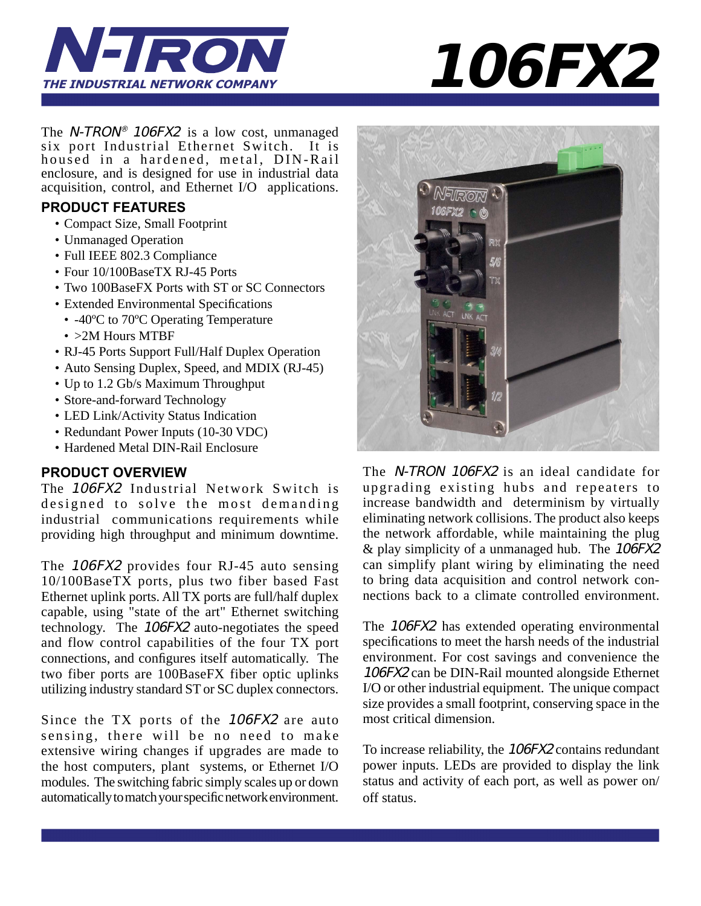

**106FX2**

The N-TRON<sup>®</sup> 106FX2 is a low cost, unmanaged six port Industrial Ethernet Switch. It is housed in a hardened, metal, DIN-Rail enclosure, and is designed for use in industrial data acquisition, control, and Ethernet I/O applications.

## **PRODUCT FEATURES**

- Compact Size, Small Footprint
- Unmanaged Operation
- Full IEEE 802.3 Compliance
- Four 10/100BaseTX RJ-45 Ports
- Two 100BaseFX Ports with ST or SC Connectors
- Extended Environmental Specifications
	- -40°C to 70°C Operating Temperature
	- > 2M Hours MTBF
- RJ-45 Ports Support Full/Half Duplex Operation
- Auto Sensing Duplex, Speed, and MDIX (RJ-45)
- Up to 1.2 Gb/s Maximum Throughput
- Store-and-forward Technology
- LED Link/Activity Status Indication
- Redundant Power Inputs (10-30 VDC)
- Hardened Metal DIN-Rail Enclosure

## **PRODUCT OVERVIEW**

The 106FX2 Industrial Network Switch is designed to solve the most demanding industrial communications requirements while providing high throughput and minimum downtime.

The 106FX2 provides four RJ-45 auto sensing 10/100BaseTX ports, plus two fiber based Fast Ethernet uplink ports. All TX ports are full/half duplex capable, using "state of the art" Ethernet switching technology. The 106FX2 auto-negotiates the speed and flow control capabilities of the four TX port connections, and configures itself automatically. The two fiber ports are 100BaseFX fiber optic uplinks utilizing industry standard ST or SC duplex connectors.

Since the TX ports of the 106FX2 are auto sensing, there will be no need to make extensive wiring changes if upgrades are made to the host computers, plant systems, or Ethernet I/O modules. The switching fabric simply scales up or down automatically to match your specific network environment.



The N-TRON 106FX2 is an ideal candidate for upgrading existing hubs and repeaters to increase bandwidth and determinism by virtually eliminating network collisions. The product also keeps the network affordable, while maintaining the plug & play simplicity of a unmanaged hub. The 106FX2 can simplify plant wiring by eliminating the need to bring data acquisition and control network connections back to a climate controlled environment.

The 106FX2 has extended operating environmental specifications to meet the harsh needs of the industrial environment. For cost savings and convenience the 106FX2 can be DIN-Rail mounted alongside Ethernet I/O or other industrial equipment. The unique compact size provides a small footprint, conserving space in the most critical dimension.

To increase reliability, the 106FX2 contains redundant power inputs. LEDs are provided to display the link status and activity of each port, as well as power on/ off status.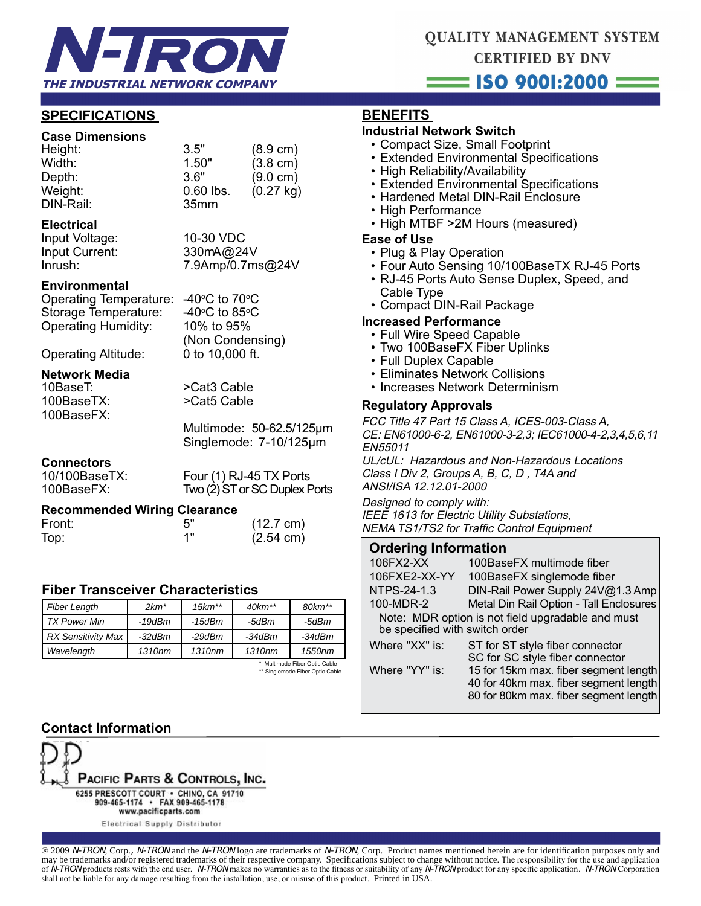

# **QUALITY MANAGEMENT SYSTEM CERTIFIED BY DNV**  $ISO$  9001:2000  $=$

**SPECIFICATIONS** 

## **Case Dimensions**

| 3.5"             | $(8.9 \text{ cm})$ |
|------------------|--------------------|
| 1.50"            | $(3.8 \text{ cm})$ |
| 3.6"             | $(9.0 \text{ cm})$ |
| $0.60$ lbs.      | (0.27 kg)          |
| 35 <sub>mm</sub> |                    |
|                  |                    |

#### **Electrical**

Input Voltage: 10-30 VDC

Input Current: 330mA@24V Inrush: 7.9Amp/0.7ms@24V

### **Environmental**

Operating Temperature: -40°C to 70°C Storage Temperature: Operating Humidity: 10% to 95%

 (Non Condensing) Operating Altitude: 0 to 10,000 ft.

C to 85 $\rm ^{o}$ C

# **Network Media**

100BaseFX:

>Cat3 Cable 100BaseTX: >Cat5 Cable

> Multimode: 50-62.5/125μm Singlemode: 7-10/125μm

# **Connectors**<br>10/100BaseTX:

Four (1) RJ-45 TX Ports 100BaseFX: Two (2) ST or SC Duplex Ports

### **Recommended Wiring Clearance**

| Front: |    | $(12.7 \text{ cm})$ |
|--------|----|---------------------|
| Top:   | 4" | $(2.54 \text{ cm})$ |

## **Fiber Transceiver Characteristics**

| <b>Fiber Length</b>           | $2km^*$            | $15km**$ | $40km**$ | $80km**$ |  |
|-------------------------------|--------------------|----------|----------|----------|--|
| <b>TX Power Min</b>           | -19dBm             | -15dBm   | -5dBm    | -5dBm    |  |
| <b>RX Sensitivity Max</b>     | $-32$ d $Bm$       | -29dBm   | $-34dBm$ | $-34dBm$ |  |
| Wavelength                    | 1310 <sub>nm</sub> | 1310nm   | 1310nm   | 1550nm   |  |
| * Multimode Fiber Optic Cable |                    |          |          |          |  |

\*\* Singlemode Fiber Optic Cable

## **BENEFITS**

## **Industrial Network Switch**

- Compact Size, Small Footprint
- Extended Environmental Specifications
- High Reliability/Availability
- Extended Environmental Specifications
- Hardened Metal DIN-Rail Enclosure
- High Performance
- High MTBF >2M Hours (measured)

#### **Ease of Use**

- Plug & Play Operation
- Four Auto Sensing 10/100BaseTX RJ-45 Ports
- RJ-45 Ports Auto Sense Duplex, Speed, and Cable Type
- Compact DIN-Rail Package

## **Increased Performance**

- Full Wire Speed Capable
- Two 100BaseFX Fiber Uplinks
- Full Duplex Capable
- Eliminates Network Collisions
- Increases Network Determinism

### **Regulatory Approvals**

FCC Title 47 Part 15 Class A, ICES-003-Class A, CE: EN61000-6-2, EN61000-3-2,3; IEC61000-4-2,3,4,5,6,11 EN55011

UL/cUL: Hazardous and Non-Hazardous Locations Class I Div 2, Groups A, B, C, D , T4A and ANSI/ISA 12.12.01-2000

Designed to comply with: IEEE 1613 for Electric Utility Substations, NEMA TS1/TS2 for Traffic Control Equipment

### **Ordering Information**

| DIN-Rail Power Supply 24V@1.3 Amp                                                                                       |  |  |  |  |
|-------------------------------------------------------------------------------------------------------------------------|--|--|--|--|
| Metal Din Rail Option - Tall Enclosures                                                                                 |  |  |  |  |
| Note: MDR option is not field upgradable and must<br>be specified with switch order                                     |  |  |  |  |
|                                                                                                                         |  |  |  |  |
| 15 for 15km max. fiber segment length<br>40 for 40km max. fiber segment length<br>80 for 80km max. fiber segment length |  |  |  |  |
|                                                                                                                         |  |  |  |  |

## **Contact Information**



Electrical Supply Distributor

® 2009 N-TRON, Corp., N-TRON and the N-TRON logo are trademarks of N-TRON, Corp. Product names mentioned herein are for identification purposes only and may be trademarks and/or registered trademarks of their respective company. Specifications subject to change without notice. The responsibility for the use and application of N-TRON products rests with the end user. N-TRON makes no warranties as to the fitness or suitability of any N-TRON product for any specific application. N-TRON Corporation shall not be liable for any damage resulting from the installation, use, or misuse of this product. Printed in USA.